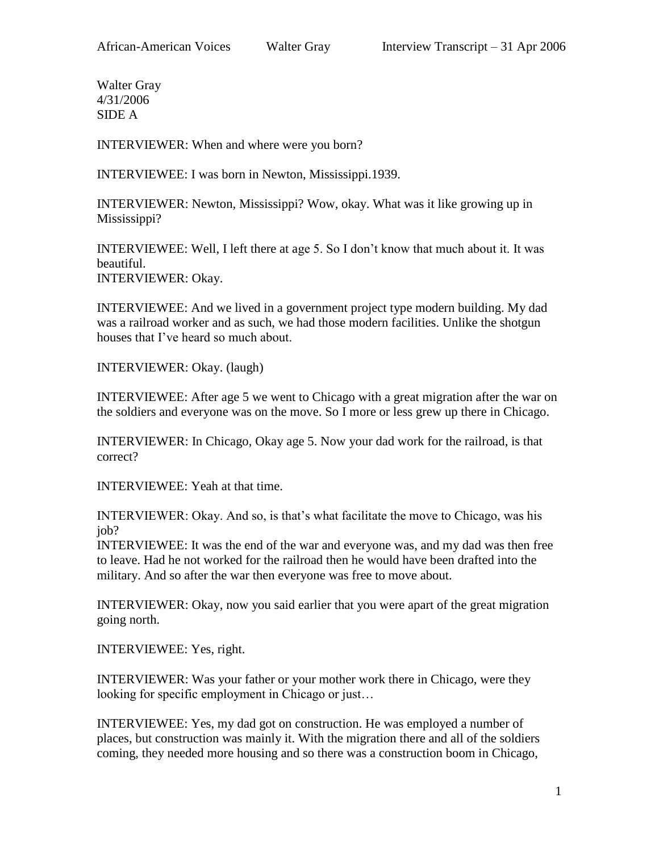Walter Gray 4/31/2006 SIDE A

INTERVIEWER: When and where were you born?

INTERVIEWEE: I was born in Newton, Mississippi.1939.

INTERVIEWER: Newton, Mississippi? Wow, okay. What was it like growing up in Mississippi?

INTERVIEWEE: Well, I left there at age 5. So I don't know that much about it. It was beautiful. INTERVIEWER: Okay.

INTERVIEWEE: And we lived in a government project type modern building. My dad was a railroad worker and as such, we had those modern facilities. Unlike the shotgun houses that I've heard so much about.

INTERVIEWER: Okay. (laugh)

INTERVIEWEE: After age 5 we went to Chicago with a great migration after the war on the soldiers and everyone was on the move. So I more or less grew up there in Chicago.

INTERVIEWER: In Chicago, Okay age 5. Now your dad work for the railroad, is that correct?

INTERVIEWEE: Yeah at that time.

INTERVIEWER: Okay. And so, is that's what facilitate the move to Chicago, was his job?

INTERVIEWEE: It was the end of the war and everyone was, and my dad was then free to leave. Had he not worked for the railroad then he would have been drafted into the military. And so after the war then everyone was free to move about.

INTERVIEWER: Okay, now you said earlier that you were apart of the great migration going north.

INTERVIEWEE: Yes, right.

INTERVIEWER: Was your father or your mother work there in Chicago, were they looking for specific employment in Chicago or just…

INTERVIEWEE: Yes, my dad got on construction. He was employed a number of places, but construction was mainly it. With the migration there and all of the soldiers coming, they needed more housing and so there was a construction boom in Chicago,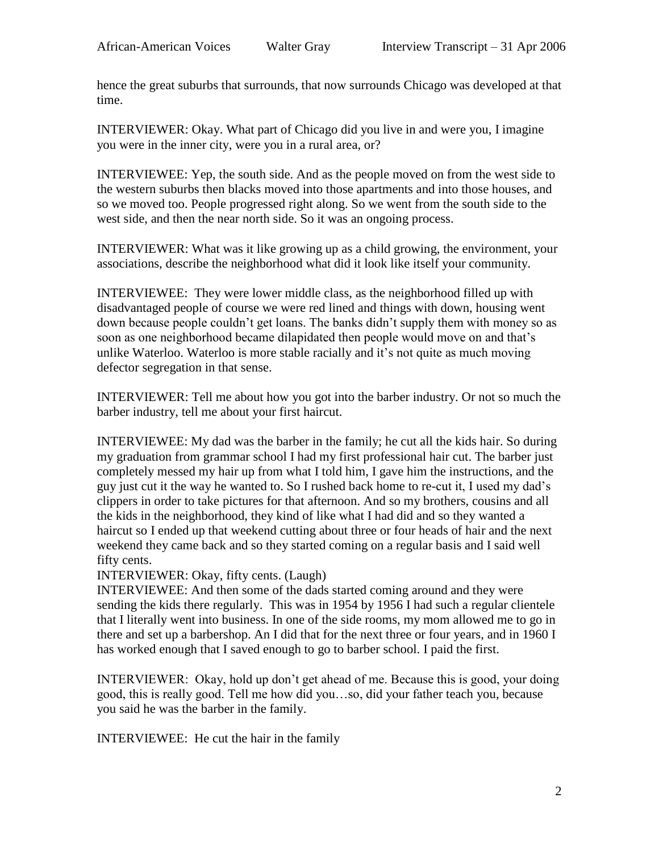hence the great suburbs that surrounds, that now surrounds Chicago was developed at that time.

INTERVIEWER: Okay. What part of Chicago did you live in and were you, I imagine you were in the inner city, were you in a rural area, or?

INTERVIEWEE: Yep, the south side. And as the people moved on from the west side to the western suburbs then blacks moved into those apartments and into those houses, and so we moved too. People progressed right along. So we went from the south side to the west side, and then the near north side. So it was an ongoing process.

INTERVIEWER: What was it like growing up as a child growing, the environment, your associations, describe the neighborhood what did it look like itself your community.

INTERVIEWEE: They were lower middle class, as the neighborhood filled up with disadvantaged people of course we were red lined and things with down, housing went down because people couldn't get loans. The banks didn't supply them with money so as soon as one neighborhood became dilapidated then people would move on and that's unlike Waterloo. Waterloo is more stable racially and it's not quite as much moving defector segregation in that sense.

INTERVIEWER: Tell me about how you got into the barber industry. Or not so much the barber industry, tell me about your first haircut.

INTERVIEWEE: My dad was the barber in the family; he cut all the kids hair. So during my graduation from grammar school I had my first professional hair cut. The barber just completely messed my hair up from what I told him, I gave him the instructions, and the guy just cut it the way he wanted to. So I rushed back home to re-cut it, I used my dad's clippers in order to take pictures for that afternoon. And so my brothers, cousins and all the kids in the neighborhood, they kind of like what I had did and so they wanted a haircut so I ended up that weekend cutting about three or four heads of hair and the next weekend they came back and so they started coming on a regular basis and I said well fifty cents.

# INTERVIEWER: Okay, fifty cents. (Laugh)

INTERVIEWEE: And then some of the dads started coming around and they were sending the kids there regularly. This was in 1954 by 1956 I had such a regular clientele that I literally went into business. In one of the side rooms, my mom allowed me to go in there and set up a barbershop. An I did that for the next three or four years, and in 1960 I has worked enough that I saved enough to go to barber school. I paid the first.

INTERVIEWER: Okay, hold up don't get ahead of me. Because this is good, your doing good, this is really good. Tell me how did you…so, did your father teach you, because you said he was the barber in the family.

INTERVIEWEE: He cut the hair in the family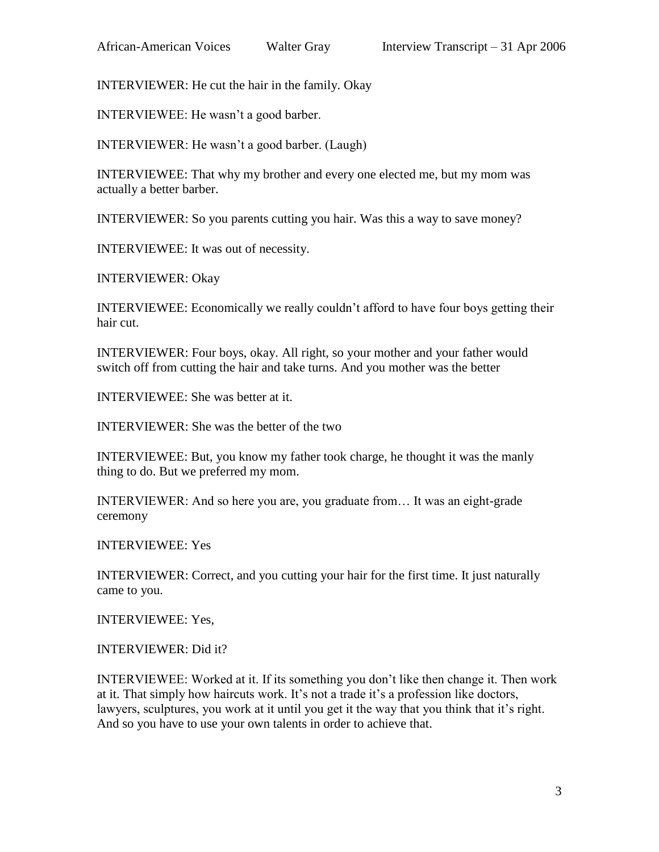INTERVIEWER: He cut the hair in the family. Okay

INTERVIEWEE: He wasn't a good barber.

INTERVIEWER: He wasn't a good barber. (Laugh)

INTERVIEWEE: That why my brother and every one elected me, but my mom was actually a better barber.

INTERVIEWER: So you parents cutting you hair. Was this a way to save money?

INTERVIEWEE: It was out of necessity.

INTERVIEWER: Okay

INTERVIEWEE: Economically we really couldn't afford to have four boys getting their hair cut.

INTERVIEWER: Four boys, okay. All right, so your mother and your father would switch off from cutting the hair and take turns. And you mother was the better

INTERVIEWEE: She was better at it.

INTERVIEWER: She was the better of the two

INTERVIEWEE: But, you know my father took charge, he thought it was the manly thing to do. But we preferred my mom.

INTERVIEWER: And so here you are, you graduate from… It was an eight-grade ceremony

INTERVIEWEE: Yes

INTERVIEWER: Correct, and you cutting your hair for the first time. It just naturally came to you.

INTERVIEWEE: Yes,

INTERVIEWER: Did it?

INTERVIEWEE: Worked at it. If its something you don't like then change it. Then work at it. That simply how haircuts work. It's not a trade it's a profession like doctors, lawyers, sculptures, you work at it until you get it the way that you think that it's right. And so you have to use your own talents in order to achieve that.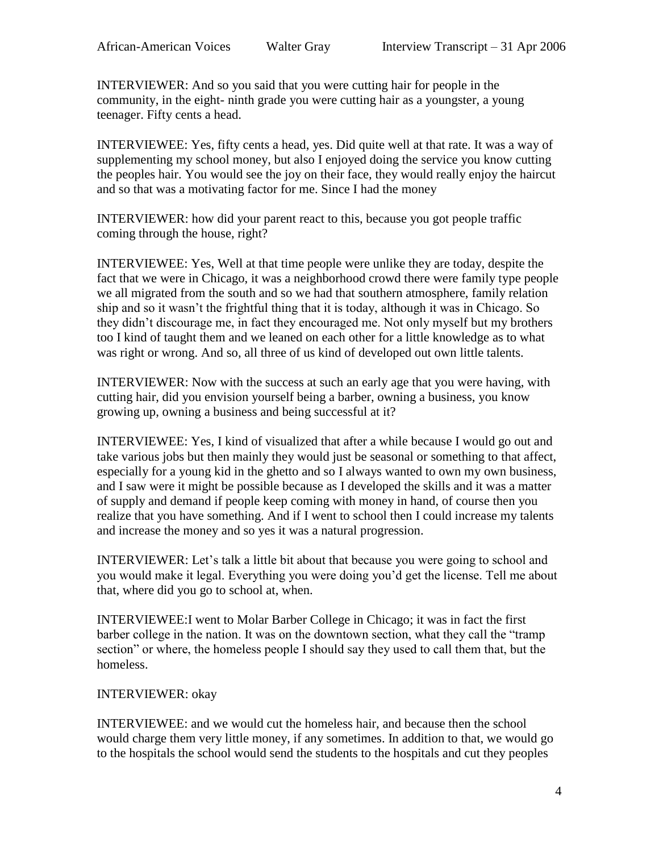INTERVIEWER: And so you said that you were cutting hair for people in the community, in the eight- ninth grade you were cutting hair as a youngster, a young teenager. Fifty cents a head.

INTERVIEWEE: Yes, fifty cents a head, yes. Did quite well at that rate. It was a way of supplementing my school money, but also I enjoyed doing the service you know cutting the peoples hair. You would see the joy on their face, they would really enjoy the haircut and so that was a motivating factor for me. Since I had the money

INTERVIEWER: how did your parent react to this, because you got people traffic coming through the house, right?

INTERVIEWEE: Yes, Well at that time people were unlike they are today, despite the fact that we were in Chicago, it was a neighborhood crowd there were family type people we all migrated from the south and so we had that southern atmosphere, family relation ship and so it wasn't the frightful thing that it is today, although it was in Chicago. So they didn't discourage me, in fact they encouraged me. Not only myself but my brothers too I kind of taught them and we leaned on each other for a little knowledge as to what was right or wrong. And so, all three of us kind of developed out own little talents.

INTERVIEWER: Now with the success at such an early age that you were having, with cutting hair, did you envision yourself being a barber, owning a business, you know growing up, owning a business and being successful at it?

INTERVIEWEE: Yes, I kind of visualized that after a while because I would go out and take various jobs but then mainly they would just be seasonal or something to that affect, especially for a young kid in the ghetto and so I always wanted to own my own business, and I saw were it might be possible because as I developed the skills and it was a matter of supply and demand if people keep coming with money in hand, of course then you realize that you have something. And if I went to school then I could increase my talents and increase the money and so yes it was a natural progression.

INTERVIEWER: Let's talk a little bit about that because you were going to school and you would make it legal. Everything you were doing you'd get the license. Tell me about that, where did you go to school at, when.

INTERVIEWEE:I went to Molar Barber College in Chicago; it was in fact the first barber college in the nation. It was on the downtown section, what they call the "tramp section" or where, the homeless people I should say they used to call them that, but the homeless.

## INTERVIEWER: okay

INTERVIEWEE: and we would cut the homeless hair, and because then the school would charge them very little money, if any sometimes. In addition to that, we would go to the hospitals the school would send the students to the hospitals and cut they peoples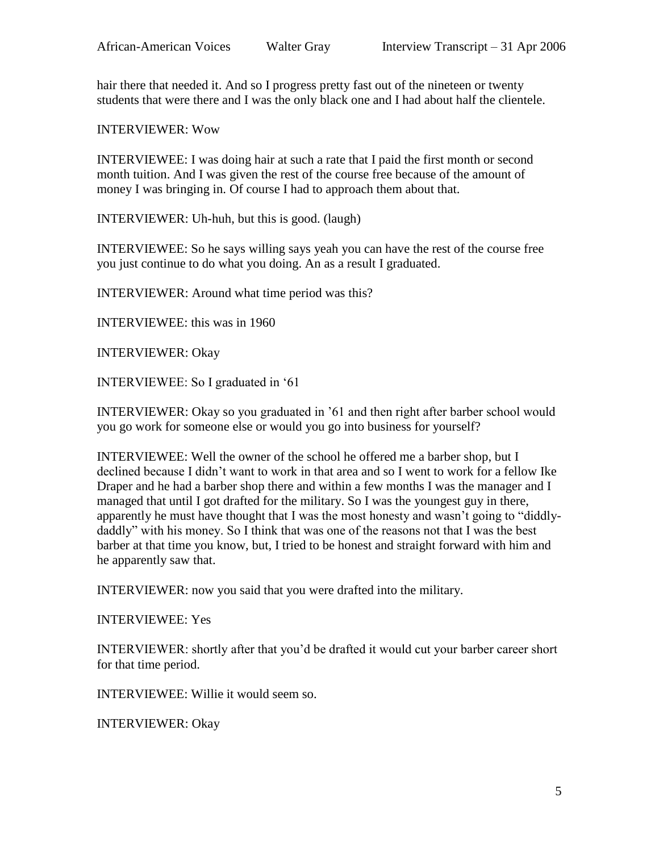hair there that needed it. And so I progress pretty fast out of the nineteen or twenty students that were there and I was the only black one and I had about half the clientele.

INTERVIEWER: Wow

INTERVIEWEE: I was doing hair at such a rate that I paid the first month or second month tuition. And I was given the rest of the course free because of the amount of money I was bringing in. Of course I had to approach them about that.

INTERVIEWER: Uh-huh, but this is good. (laugh)

INTERVIEWEE: So he says willing says yeah you can have the rest of the course free you just continue to do what you doing. An as a result I graduated.

INTERVIEWER: Around what time period was this?

INTERVIEWEE: this was in 1960

INTERVIEWER: Okay

INTERVIEWEE: So I graduated in '61

INTERVIEWER: Okay so you graduated in '61 and then right after barber school would you go work for someone else or would you go into business for yourself?

INTERVIEWEE: Well the owner of the school he offered me a barber shop, but I declined because I didn't want to work in that area and so I went to work for a fellow Ike Draper and he had a barber shop there and within a few months I was the manager and I managed that until I got drafted for the military. So I was the youngest guy in there, apparently he must have thought that I was the most honesty and wasn't going to "diddlydaddly" with his money. So I think that was one of the reasons not that I was the best barber at that time you know, but, I tried to be honest and straight forward with him and he apparently saw that.

INTERVIEWER: now you said that you were drafted into the military.

INTERVIEWEE: Yes

INTERVIEWER: shortly after that you'd be drafted it would cut your barber career short for that time period.

INTERVIEWEE: Willie it would seem so.

INTERVIEWER: Okay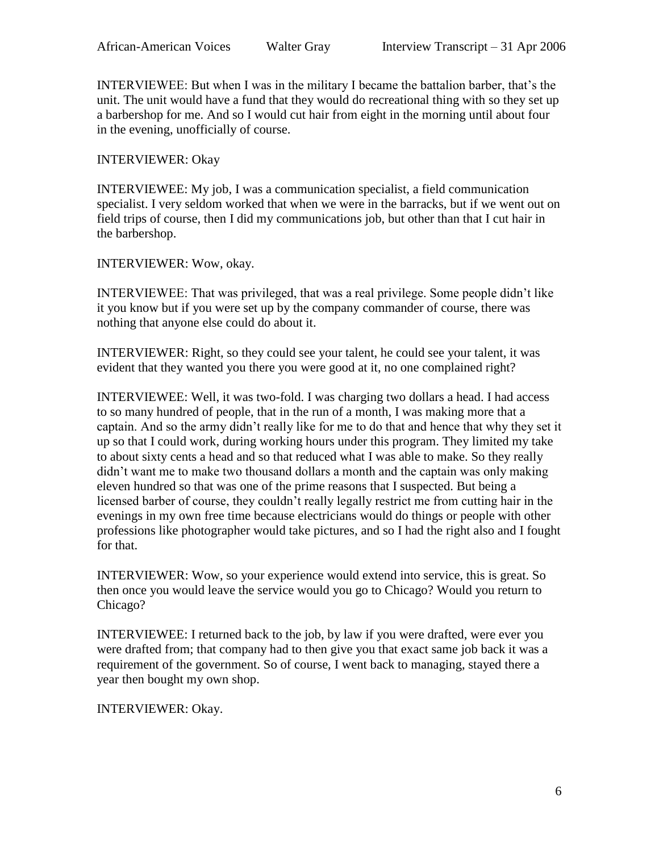INTERVIEWEE: But when I was in the military I became the battalion barber, that's the unit. The unit would have a fund that they would do recreational thing with so they set up a barbershop for me. And so I would cut hair from eight in the morning until about four in the evening, unofficially of course.

## INTERVIEWER: Okay

INTERVIEWEE: My job, I was a communication specialist, a field communication specialist. I very seldom worked that when we were in the barracks, but if we went out on field trips of course, then I did my communications job, but other than that I cut hair in the barbershop.

INTERVIEWER: Wow, okay.

INTERVIEWEE: That was privileged, that was a real privilege. Some people didn't like it you know but if you were set up by the company commander of course, there was nothing that anyone else could do about it.

INTERVIEWER: Right, so they could see your talent, he could see your talent, it was evident that they wanted you there you were good at it, no one complained right?

INTERVIEWEE: Well, it was two-fold. I was charging two dollars a head. I had access to so many hundred of people, that in the run of a month, I was making more that a captain. And so the army didn't really like for me to do that and hence that why they set it up so that I could work, during working hours under this program. They limited my take to about sixty cents a head and so that reduced what I was able to make. So they really didn't want me to make two thousand dollars a month and the captain was only making eleven hundred so that was one of the prime reasons that I suspected. But being a licensed barber of course, they couldn't really legally restrict me from cutting hair in the evenings in my own free time because electricians would do things or people with other professions like photographer would take pictures, and so I had the right also and I fought for that.

INTERVIEWER: Wow, so your experience would extend into service, this is great. So then once you would leave the service would you go to Chicago? Would you return to Chicago?

INTERVIEWEE: I returned back to the job, by law if you were drafted, were ever you were drafted from; that company had to then give you that exact same job back it was a requirement of the government. So of course, I went back to managing, stayed there a year then bought my own shop.

INTERVIEWER: Okay.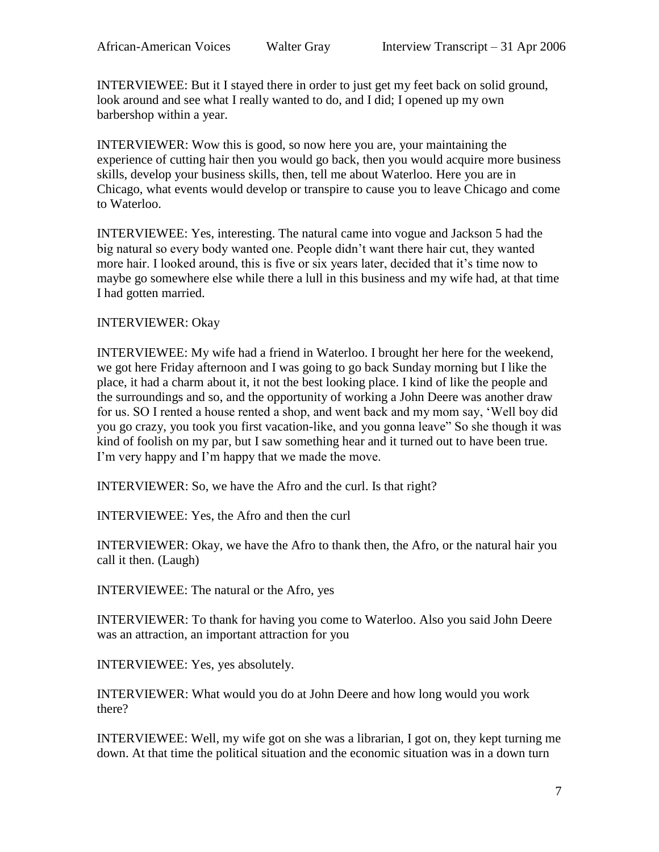INTERVIEWEE: But it I stayed there in order to just get my feet back on solid ground, look around and see what I really wanted to do, and I did; I opened up my own barbershop within a year.

INTERVIEWER: Wow this is good, so now here you are, your maintaining the experience of cutting hair then you would go back, then you would acquire more business skills, develop your business skills, then, tell me about Waterloo. Here you are in Chicago, what events would develop or transpire to cause you to leave Chicago and come to Waterloo.

INTERVIEWEE: Yes, interesting. The natural came into vogue and Jackson 5 had the big natural so every body wanted one. People didn't want there hair cut, they wanted more hair. I looked around, this is five or six years later, decided that it's time now to maybe go somewhere else while there a lull in this business and my wife had, at that time I had gotten married.

#### INTERVIEWER: Okay

INTERVIEWEE: My wife had a friend in Waterloo. I brought her here for the weekend, we got here Friday afternoon and I was going to go back Sunday morning but I like the place, it had a charm about it, it not the best looking place. I kind of like the people and the surroundings and so, and the opportunity of working a John Deere was another draw for us. SO I rented a house rented a shop, and went back and my mom say, 'Well boy did you go crazy, you took you first vacation-like, and you gonna leave" So she though it was kind of foolish on my par, but I saw something hear and it turned out to have been true. I'm very happy and I'm happy that we made the move.

INTERVIEWER: So, we have the Afro and the curl. Is that right?

INTERVIEWEE: Yes, the Afro and then the curl

INTERVIEWER: Okay, we have the Afro to thank then, the Afro, or the natural hair you call it then. (Laugh)

INTERVIEWEE: The natural or the Afro, yes

INTERVIEWER: To thank for having you come to Waterloo. Also you said John Deere was an attraction, an important attraction for you

INTERVIEWEE: Yes, yes absolutely.

INTERVIEWER: What would you do at John Deere and how long would you work there?

INTERVIEWEE: Well, my wife got on she was a librarian, I got on, they kept turning me down. At that time the political situation and the economic situation was in a down turn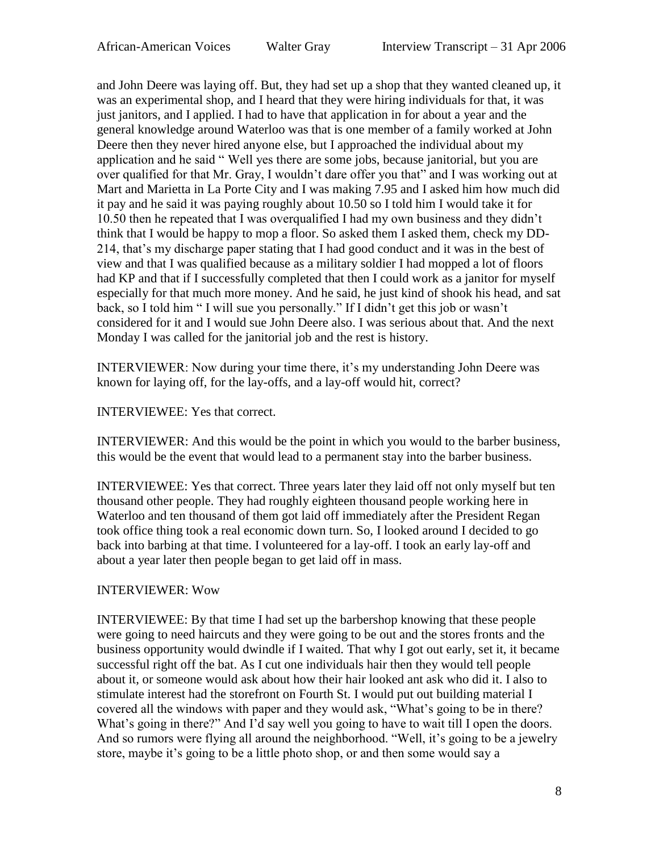and John Deere was laying off. But, they had set up a shop that they wanted cleaned up, it was an experimental shop, and I heard that they were hiring individuals for that, it was just janitors, and I applied. I had to have that application in for about a year and the general knowledge around Waterloo was that is one member of a family worked at John Deere then they never hired anyone else, but I approached the individual about my application and he said " Well yes there are some jobs, because janitorial, but you are over qualified for that Mr. Gray, I wouldn't dare offer you that" and I was working out at Mart and Marietta in La Porte City and I was making 7.95 and I asked him how much did it pay and he said it was paying roughly about 10.50 so I told him I would take it for 10.50 then he repeated that I was overqualified I had my own business and they didn't think that I would be happy to mop a floor. So asked them I asked them, check my DD-214, that's my discharge paper stating that I had good conduct and it was in the best of view and that I was qualified because as a military soldier I had mopped a lot of floors had KP and that if I successfully completed that then I could work as a janitor for myself especially for that much more money. And he said, he just kind of shook his head, and sat back, so I told him " I will sue you personally." If I didn't get this job or wasn't considered for it and I would sue John Deere also. I was serious about that. And the next Monday I was called for the janitorial job and the rest is history.

INTERVIEWER: Now during your time there, it's my understanding John Deere was known for laying off, for the lay-offs, and a lay-off would hit, correct?

## INTERVIEWEE: Yes that correct.

INTERVIEWER: And this would be the point in which you would to the barber business, this would be the event that would lead to a permanent stay into the barber business.

INTERVIEWEE: Yes that correct. Three years later they laid off not only myself but ten thousand other people. They had roughly eighteen thousand people working here in Waterloo and ten thousand of them got laid off immediately after the President Regan took office thing took a real economic down turn. So, I looked around I decided to go back into barbing at that time. I volunteered for a lay-off. I took an early lay-off and about a year later then people began to get laid off in mass.

#### INTERVIEWER: Wow

INTERVIEWEE: By that time I had set up the barbershop knowing that these people were going to need haircuts and they were going to be out and the stores fronts and the business opportunity would dwindle if I waited. That why I got out early, set it, it became successful right off the bat. As I cut one individuals hair then they would tell people about it, or someone would ask about how their hair looked ant ask who did it. I also to stimulate interest had the storefront on Fourth St. I would put out building material I covered all the windows with paper and they would ask, "What's going to be in there? What's going in there?" And I'd say well you going to have to wait till I open the doors. And so rumors were flying all around the neighborhood. "Well, it's going to be a jewelry store, maybe it's going to be a little photo shop, or and then some would say a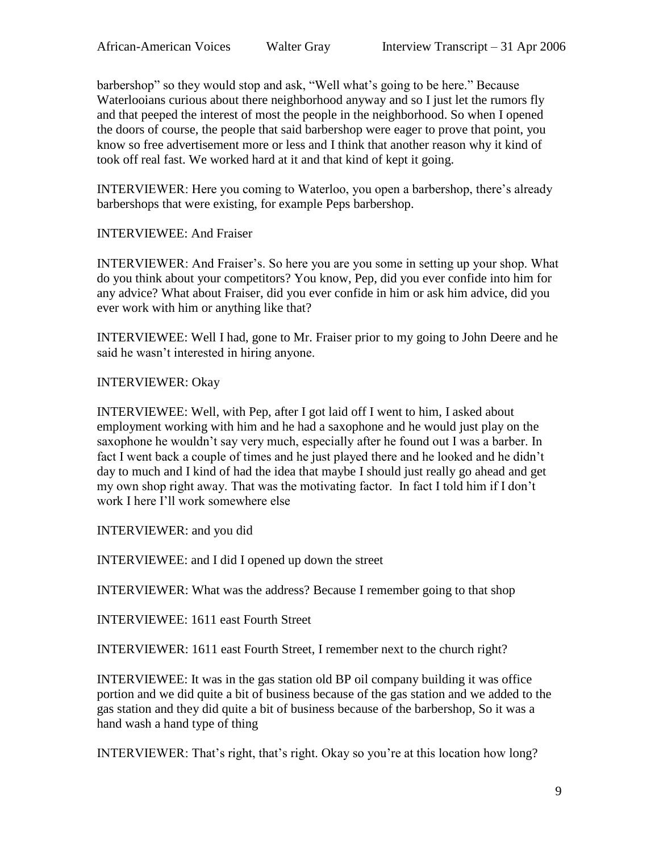barbershop" so they would stop and ask, "Well what's going to be here." Because Waterlooians curious about there neighborhood anyway and so I just let the rumors fly and that peeped the interest of most the people in the neighborhood. So when I opened the doors of course, the people that said barbershop were eager to prove that point, you know so free advertisement more or less and I think that another reason why it kind of took off real fast. We worked hard at it and that kind of kept it going.

INTERVIEWER: Here you coming to Waterloo, you open a barbershop, there's already barbershops that were existing, for example Peps barbershop.

## INTERVIEWEE: And Fraiser

INTERVIEWER: And Fraiser's. So here you are you some in setting up your shop. What do you think about your competitors? You know, Pep, did you ever confide into him for any advice? What about Fraiser, did you ever confide in him or ask him advice, did you ever work with him or anything like that?

INTERVIEWEE: Well I had, gone to Mr. Fraiser prior to my going to John Deere and he said he wasn't interested in hiring anyone.

#### INTERVIEWER: Okay

INTERVIEWEE: Well, with Pep, after I got laid off I went to him, I asked about employment working with him and he had a saxophone and he would just play on the saxophone he wouldn't say very much, especially after he found out I was a barber. In fact I went back a couple of times and he just played there and he looked and he didn't day to much and I kind of had the idea that maybe I should just really go ahead and get my own shop right away. That was the motivating factor. In fact I told him if I don't work I here I'll work somewhere else

INTERVIEWER: and you did

INTERVIEWEE: and I did I opened up down the street

INTERVIEWER: What was the address? Because I remember going to that shop

INTERVIEWEE: 1611 east Fourth Street

INTERVIEWER: 1611 east Fourth Street, I remember next to the church right?

INTERVIEWEE: It was in the gas station old BP oil company building it was office portion and we did quite a bit of business because of the gas station and we added to the gas station and they did quite a bit of business because of the barbershop, So it was a hand wash a hand type of thing

INTERVIEWER: That's right, that's right. Okay so you're at this location how long?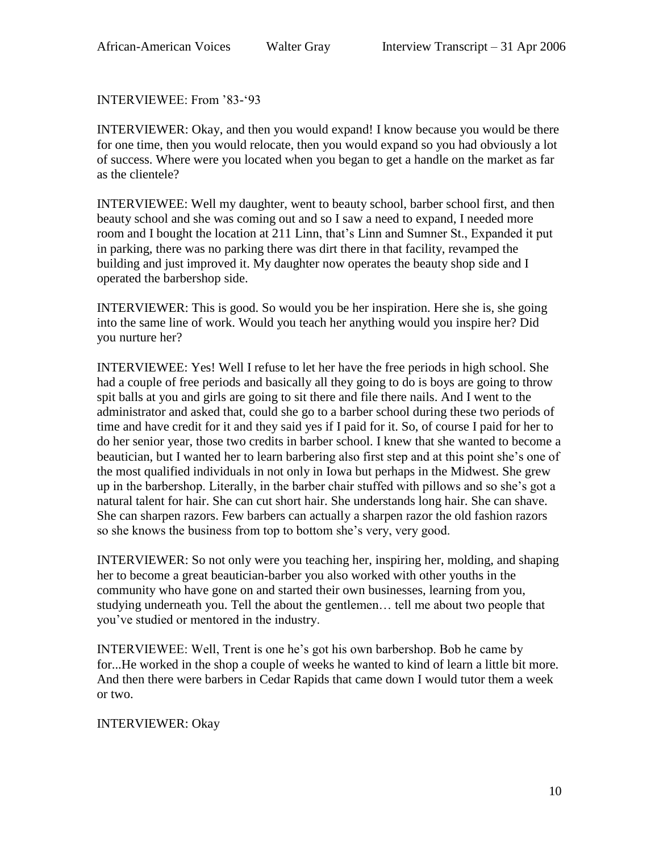INTERVIEWEE: From '83-'93

INTERVIEWER: Okay, and then you would expand! I know because you would be there for one time, then you would relocate, then you would expand so you had obviously a lot of success. Where were you located when you began to get a handle on the market as far as the clientele?

INTERVIEWEE: Well my daughter, went to beauty school, barber school first, and then beauty school and she was coming out and so I saw a need to expand, I needed more room and I bought the location at 211 Linn, that's Linn and Sumner St., Expanded it put in parking, there was no parking there was dirt there in that facility, revamped the building and just improved it. My daughter now operates the beauty shop side and I operated the barbershop side.

INTERVIEWER: This is good. So would you be her inspiration. Here she is, she going into the same line of work. Would you teach her anything would you inspire her? Did you nurture her?

INTERVIEWEE: Yes! Well I refuse to let her have the free periods in high school. She had a couple of free periods and basically all they going to do is boys are going to throw spit balls at you and girls are going to sit there and file there nails. And I went to the administrator and asked that, could she go to a barber school during these two periods of time and have credit for it and they said yes if I paid for it. So, of course I paid for her to do her senior year, those two credits in barber school. I knew that she wanted to become a beautician, but I wanted her to learn barbering also first step and at this point she's one of the most qualified individuals in not only in Iowa but perhaps in the Midwest. She grew up in the barbershop. Literally, in the barber chair stuffed with pillows and so she's got a natural talent for hair. She can cut short hair. She understands long hair. She can shave. She can sharpen razors. Few barbers can actually a sharpen razor the old fashion razors so she knows the business from top to bottom she's very, very good.

INTERVIEWER: So not only were you teaching her, inspiring her, molding, and shaping her to become a great beautician-barber you also worked with other youths in the community who have gone on and started their own businesses, learning from you, studying underneath you. Tell the about the gentlemen… tell me about two people that you've studied or mentored in the industry.

INTERVIEWEE: Well, Trent is one he's got his own barbershop. Bob he came by for...He worked in the shop a couple of weeks he wanted to kind of learn a little bit more. And then there were barbers in Cedar Rapids that came down I would tutor them a week or two.

## INTERVIEWER: Okay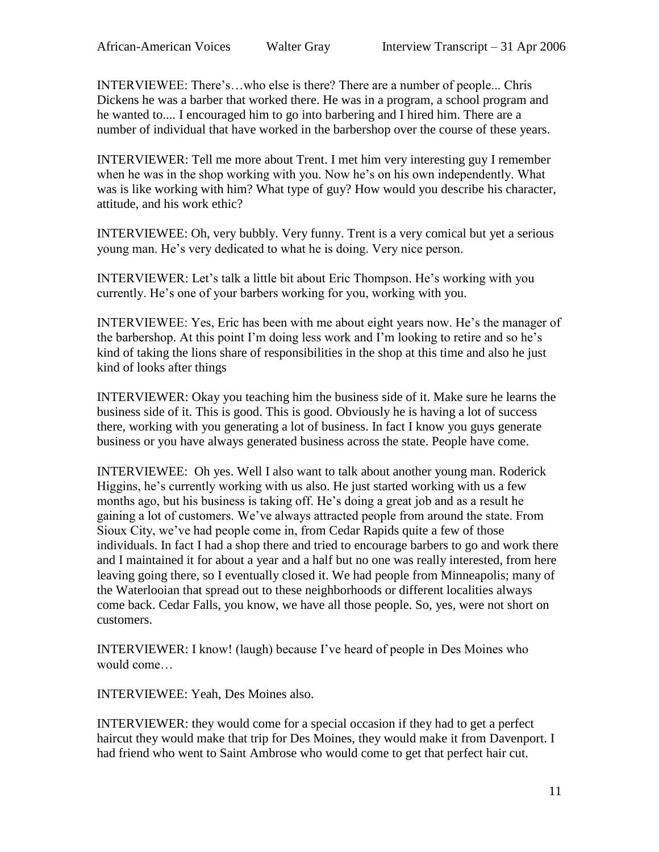INTERVIEWEE: There's…who else is there? There are a number of people... Chris Dickens he was a barber that worked there. He was in a program, a school program and he wanted to.... I encouraged him to go into barbering and I hired him. There are a number of individual that have worked in the barbershop over the course of these years.

INTERVIEWER: Tell me more about Trent. I met him very interesting guy I remember when he was in the shop working with you. Now he's on his own independently. What was is like working with him? What type of guy? How would you describe his character, attitude, and his work ethic?

INTERVIEWEE: Oh, very bubbly. Very funny. Trent is a very comical but yet a serious young man. He's very dedicated to what he is doing. Very nice person.

INTERVIEWER: Let's talk a little bit about Eric Thompson. He's working with you currently. He's one of your barbers working for you, working with you.

INTERVIEWEE: Yes, Eric has been with me about eight years now. He's the manager of the barbershop. At this point I'm doing less work and I'm looking to retire and so he's kind of taking the lions share of responsibilities in the shop at this time and also he just kind of looks after things

INTERVIEWER: Okay you teaching him the business side of it. Make sure he learns the business side of it. This is good. This is good. Obviously he is having a lot of success there, working with you generating a lot of business. In fact I know you guys generate business or you have always generated business across the state. People have come.

INTERVIEWEE: Oh yes. Well I also want to talk about another young man. Roderick Higgins, he's currently working with us also. He just started working with us a few months ago, but his business is taking off. He's doing a great job and as a result he gaining a lot of customers. We've always attracted people from around the state. From Sioux City, we've had people come in, from Cedar Rapids quite a few of those individuals. In fact I had a shop there and tried to encourage barbers to go and work there and I maintained it for about a year and a half but no one was really interested, from here leaving going there, so I eventually closed it. We had people from Minneapolis; many of the Waterlooian that spread out to these neighborhoods or different localities always come back. Cedar Falls, you know, we have all those people. So, yes, were not short on customers.

INTERVIEWER: I know! (laugh) because I've heard of people in Des Moines who would come…

INTERVIEWEE: Yeah, Des Moines also.

INTERVIEWER: they would come for a special occasion if they had to get a perfect haircut they would make that trip for Des Moines, they would make it from Davenport. I had friend who went to Saint Ambrose who would come to get that perfect hair cut.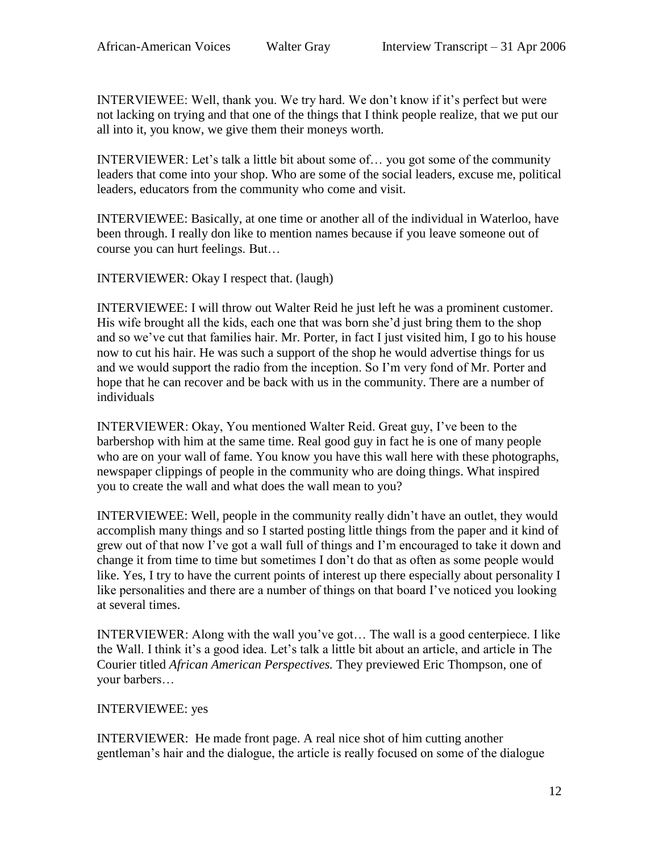INTERVIEWEE: Well, thank you. We try hard. We don't know if it's perfect but were not lacking on trying and that one of the things that I think people realize, that we put our all into it, you know, we give them their moneys worth.

INTERVIEWER: Let's talk a little bit about some of… you got some of the community leaders that come into your shop. Who are some of the social leaders, excuse me, political leaders, educators from the community who come and visit.

INTERVIEWEE: Basically, at one time or another all of the individual in Waterloo, have been through. I really don like to mention names because if you leave someone out of course you can hurt feelings. But…

INTERVIEWER: Okay I respect that. (laugh)

INTERVIEWEE: I will throw out Walter Reid he just left he was a prominent customer. His wife brought all the kids, each one that was born she'd just bring them to the shop and so we've cut that families hair. Mr. Porter, in fact I just visited him, I go to his house now to cut his hair. He was such a support of the shop he would advertise things for us and we would support the radio from the inception. So I'm very fond of Mr. Porter and hope that he can recover and be back with us in the community. There are a number of individuals

INTERVIEWER: Okay, You mentioned Walter Reid. Great guy, I've been to the barbershop with him at the same time. Real good guy in fact he is one of many people who are on your wall of fame. You know you have this wall here with these photographs, newspaper clippings of people in the community who are doing things. What inspired you to create the wall and what does the wall mean to you?

INTERVIEWEE: Well, people in the community really didn't have an outlet, they would accomplish many things and so I started posting little things from the paper and it kind of grew out of that now I've got a wall full of things and I'm encouraged to take it down and change it from time to time but sometimes I don't do that as often as some people would like. Yes, I try to have the current points of interest up there especially about personality I like personalities and there are a number of things on that board I've noticed you looking at several times.

INTERVIEWER: Along with the wall you've got… The wall is a good centerpiece. I like the Wall. I think it's a good idea. Let's talk a little bit about an article, and article in The Courier titled *African American Perspectives.* They previewed Eric Thompson, one of your barbers…

# INTERVIEWEE: yes

INTERVIEWER: He made front page. A real nice shot of him cutting another gentleman's hair and the dialogue, the article is really focused on some of the dialogue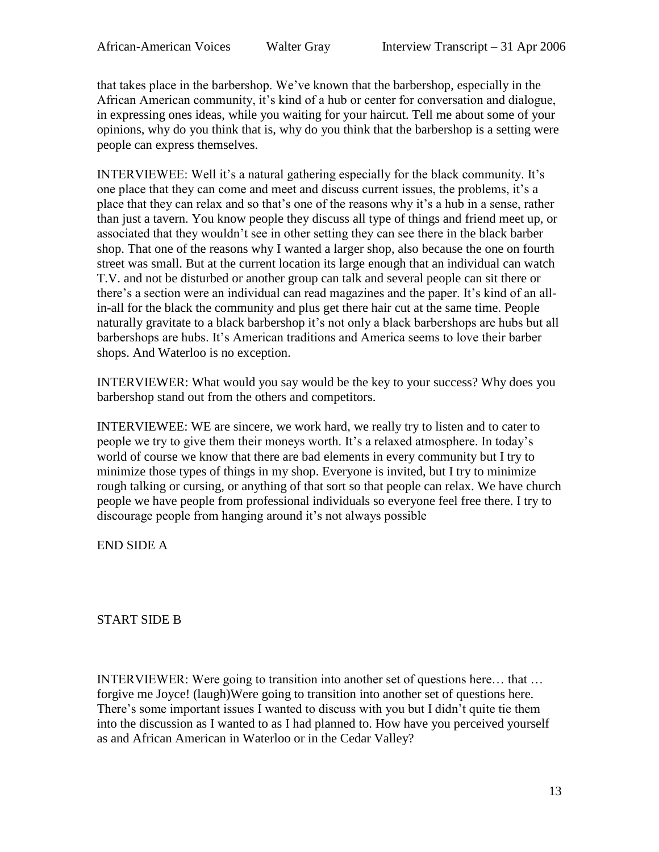that takes place in the barbershop. We've known that the barbershop, especially in the African American community, it's kind of a hub or center for conversation and dialogue, in expressing ones ideas, while you waiting for your haircut. Tell me about some of your opinions, why do you think that is, why do you think that the barbershop is a setting were people can express themselves.

INTERVIEWEE: Well it's a natural gathering especially for the black community. It's one place that they can come and meet and discuss current issues, the problems, it's a place that they can relax and so that's one of the reasons why it's a hub in a sense, rather than just a tavern. You know people they discuss all type of things and friend meet up, or associated that they wouldn't see in other setting they can see there in the black barber shop. That one of the reasons why I wanted a larger shop, also because the one on fourth street was small. But at the current location its large enough that an individual can watch T.V. and not be disturbed or another group can talk and several people can sit there or there's a section were an individual can read magazines and the paper. It's kind of an allin-all for the black the community and plus get there hair cut at the same time. People naturally gravitate to a black barbershop it's not only a black barbershops are hubs but all barbershops are hubs. It's American traditions and America seems to love their barber shops. And Waterloo is no exception.

INTERVIEWER: What would you say would be the key to your success? Why does you barbershop stand out from the others and competitors.

INTERVIEWEE: WE are sincere, we work hard, we really try to listen and to cater to people we try to give them their moneys worth. It's a relaxed atmosphere. In today's world of course we know that there are bad elements in every community but I try to minimize those types of things in my shop. Everyone is invited, but I try to minimize rough talking or cursing, or anything of that sort so that people can relax. We have church people we have people from professional individuals so everyone feel free there. I try to discourage people from hanging around it's not always possible

END SIDE A

START SIDE B

INTERVIEWER: Were going to transition into another set of questions here… that … forgive me Joyce! (laugh)Were going to transition into another set of questions here. There's some important issues I wanted to discuss with you but I didn't quite tie them into the discussion as I wanted to as I had planned to. How have you perceived yourself as and African American in Waterloo or in the Cedar Valley?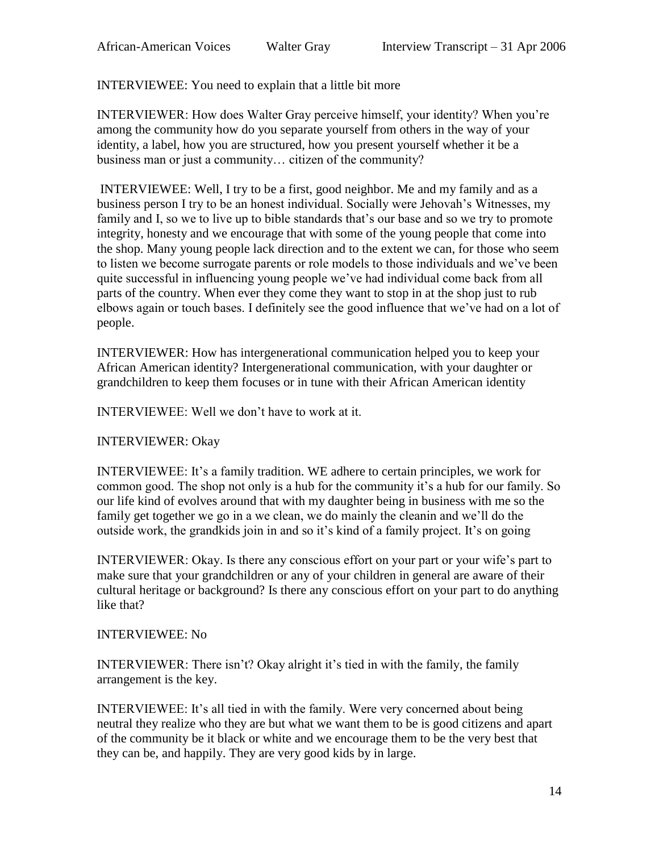INTERVIEWEE: You need to explain that a little bit more

INTERVIEWER: How does Walter Gray perceive himself, your identity? When you're among the community how do you separate yourself from others in the way of your identity, a label, how you are structured, how you present yourself whether it be a business man or just a community… citizen of the community?

INTERVIEWEE: Well, I try to be a first, good neighbor. Me and my family and as a business person I try to be an honest individual. Socially were Jehovah's Witnesses, my family and I, so we to live up to bible standards that's our base and so we try to promote integrity, honesty and we encourage that with some of the young people that come into the shop. Many young people lack direction and to the extent we can, for those who seem to listen we become surrogate parents or role models to those individuals and we've been quite successful in influencing young people we've had individual come back from all parts of the country. When ever they come they want to stop in at the shop just to rub elbows again or touch bases. I definitely see the good influence that we've had on a lot of people.

INTERVIEWER: How has intergenerational communication helped you to keep your African American identity? Intergenerational communication, with your daughter or grandchildren to keep them focuses or in tune with their African American identity

INTERVIEWEE: Well we don't have to work at it.

## INTERVIEWER: Okay

INTERVIEWEE: It's a family tradition. WE adhere to certain principles, we work for common good. The shop not only is a hub for the community it's a hub for our family. So our life kind of evolves around that with my daughter being in business with me so the family get together we go in a we clean, we do mainly the cleanin and we'll do the outside work, the grandkids join in and so it's kind of a family project. It's on going

INTERVIEWER: Okay. Is there any conscious effort on your part or your wife's part to make sure that your grandchildren or any of your children in general are aware of their cultural heritage or background? Is there any conscious effort on your part to do anything like that?

#### INTERVIEWEE: No

INTERVIEWER: There isn't? Okay alright it's tied in with the family, the family arrangement is the key.

INTERVIEWEE: It's all tied in with the family. Were very concerned about being neutral they realize who they are but what we want them to be is good citizens and apart of the community be it black or white and we encourage them to be the very best that they can be, and happily. They are very good kids by in large.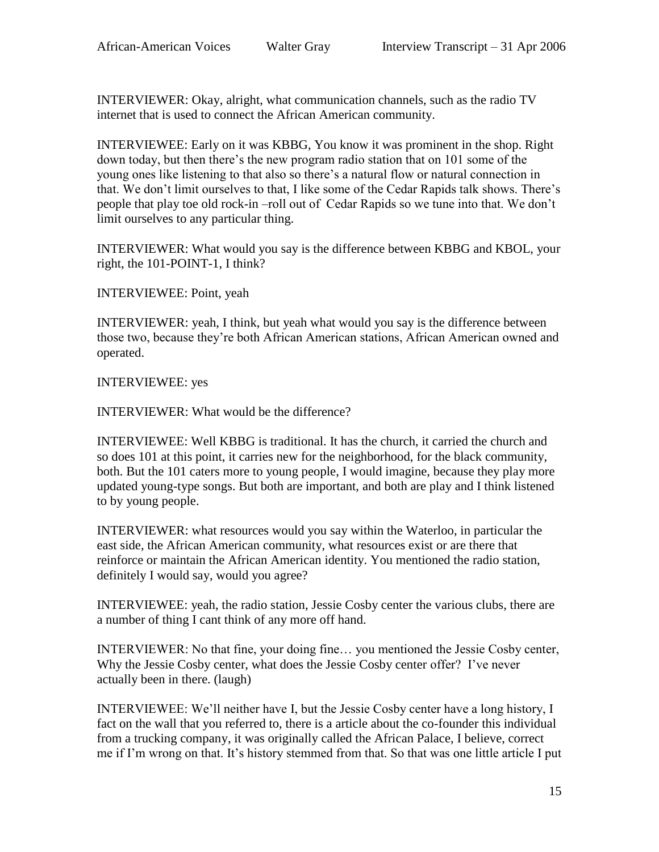INTERVIEWER: Okay, alright, what communication channels, such as the radio TV internet that is used to connect the African American community.

INTERVIEWEE: Early on it was KBBG, You know it was prominent in the shop. Right down today, but then there's the new program radio station that on 101 some of the young ones like listening to that also so there's a natural flow or natural connection in that. We don't limit ourselves to that, I like some of the Cedar Rapids talk shows. There's people that play toe old rock-in –roll out of Cedar Rapids so we tune into that. We don't limit ourselves to any particular thing.

INTERVIEWER: What would you say is the difference between KBBG and KBOL, your right, the 101-POINT-1, I think?

INTERVIEWEE: Point, yeah

INTERVIEWER: yeah, I think, but yeah what would you say is the difference between those two, because they're both African American stations, African American owned and operated.

INTERVIEWEE: yes

INTERVIEWER: What would be the difference?

INTERVIEWEE: Well KBBG is traditional. It has the church, it carried the church and so does 101 at this point, it carries new for the neighborhood, for the black community, both. But the 101 caters more to young people, I would imagine, because they play more updated young-type songs. But both are important, and both are play and I think listened to by young people.

INTERVIEWER: what resources would you say within the Waterloo, in particular the east side, the African American community, what resources exist or are there that reinforce or maintain the African American identity. You mentioned the radio station, definitely I would say, would you agree?

INTERVIEWEE: yeah, the radio station, Jessie Cosby center the various clubs, there are a number of thing I cant think of any more off hand.

INTERVIEWER: No that fine, your doing fine… you mentioned the Jessie Cosby center, Why the Jessie Cosby center, what does the Jessie Cosby center offer? I've never actually been in there. (laugh)

INTERVIEWEE: We'll neither have I, but the Jessie Cosby center have a long history, I fact on the wall that you referred to, there is a article about the co-founder this individual from a trucking company, it was originally called the African Palace, I believe, correct me if I'm wrong on that. It's history stemmed from that. So that was one little article I put